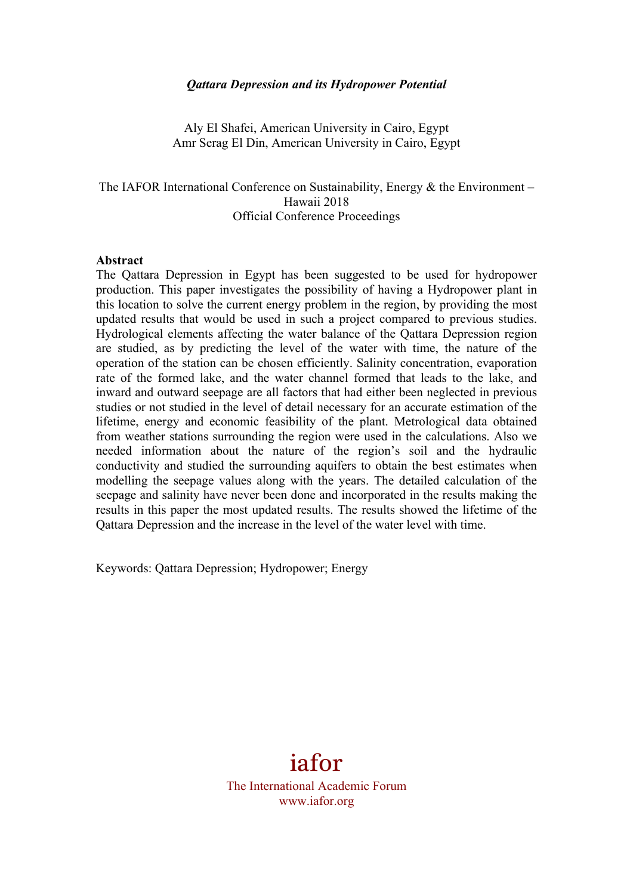## *Qattara Depression and its Hydropower Potential*

Aly El Shafei, American University in Cairo, Egypt Amr Serag El Din, American University in Cairo, Egypt

The IAFOR International Conference on Sustainability, Energy & the Environment – Hawaii 2018 Official Conference Proceedings

#### **Abstract**

The Qattara Depression in Egypt has been suggested to be used for hydropower production. This paper investigates the possibility of having a Hydropower plant in this location to solve the current energy problem in the region, by providing the most updated results that would be used in such a project compared to previous studies. Hydrological elements affecting the water balance of the Qattara Depression region are studied, as by predicting the level of the water with time, the nature of the operation of the station can be chosen efficiently. Salinity concentration, evaporation rate of the formed lake, and the water channel formed that leads to the lake, and inward and outward seepage are all factors that had either been neglected in previous studies or not studied in the level of detail necessary for an accurate estimation of the lifetime, energy and economic feasibility of the plant. Metrological data obtained from weather stations surrounding the region were used in the calculations. Also we needed information about the nature of the region's soil and the hydraulic conductivity and studied the surrounding aquifers to obtain the best estimates when modelling the seepage values along with the years. The detailed calculation of the seepage and salinity have never been done and incorporated in the results making the results in this paper the most updated results. The results showed the lifetime of the Qattara Depression and the increase in the level of the water level with time.

Keywords: Qattara Depression; Hydropower; Energy

# iafor

The International Academic Forum www.iafor.org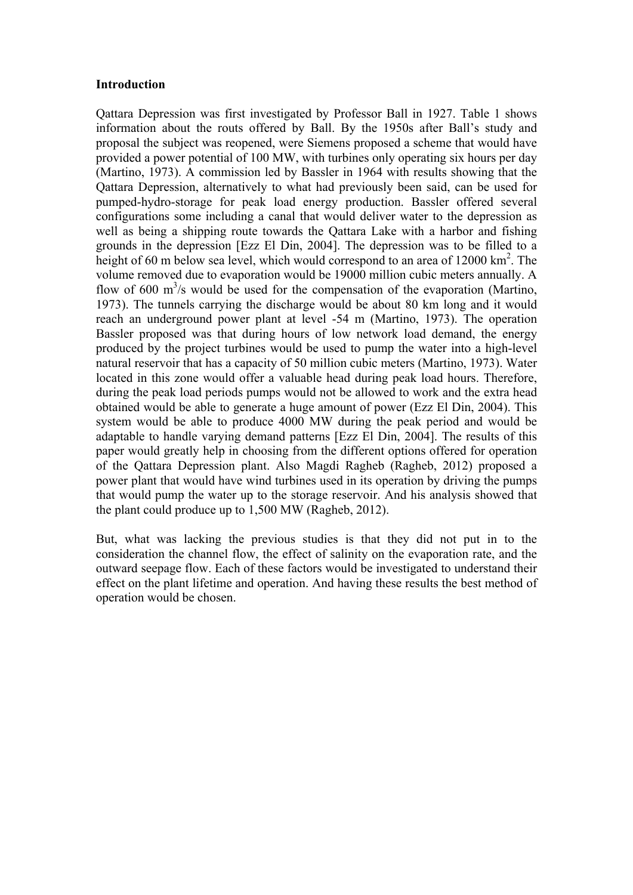## **Introduction**

Qattara Depression was first investigated by Professor Ball in 1927. Table 1 shows information about the routs offered by Ball. By the 1950s after Ball's study and proposal the subject was reopened, were Siemens proposed a scheme that would have provided a power potential of 100 MW, with turbines only operating six hours per day (Martino, 1973). A commission led by Bassler in 1964 with results showing that the Qattara Depression, alternatively to what had previously been said, can be used for pumped-hydro-storage for peak load energy production. Bassler offered several configurations some including a canal that would deliver water to the depression as well as being a shipping route towards the Qattara Lake with a harbor and fishing grounds in the depression [Ezz El Din, 2004]. The depression was to be filled to a height of 60 m below sea level, which would correspond to an area of 12000 km<sup>2</sup>. The volume removed due to evaporation would be 19000 million cubic meters annually. A flow of 600  $\mathrm{m}^3$ /s would be used for the compensation of the evaporation (Martino, 1973). The tunnels carrying the discharge would be about 80 km long and it would reach an underground power plant at level -54 m (Martino, 1973). The operation Bassler proposed was that during hours of low network load demand, the energy produced by the project turbines would be used to pump the water into a high-level natural reservoir that has a capacity of 50 million cubic meters (Martino, 1973). Water located in this zone would offer a valuable head during peak load hours. Therefore, during the peak load periods pumps would not be allowed to work and the extra head obtained would be able to generate a huge amount of power (Ezz El Din, 2004). This system would be able to produce 4000 MW during the peak period and would be adaptable to handle varying demand patterns [Ezz El Din, 2004]. The results of this paper would greatly help in choosing from the different options offered for operation of the Qattara Depression plant. Also Magdi Ragheb (Ragheb, 2012) proposed a power plant that would have wind turbines used in its operation by driving the pumps that would pump the water up to the storage reservoir. And his analysis showed that the plant could produce up to 1,500 MW (Ragheb, 2012).

But, what was lacking the previous studies is that they did not put in to the consideration the channel flow, the effect of salinity on the evaporation rate, and the outward seepage flow. Each of these factors would be investigated to understand their effect on the plant lifetime and operation. And having these results the best method of operation would be chosen.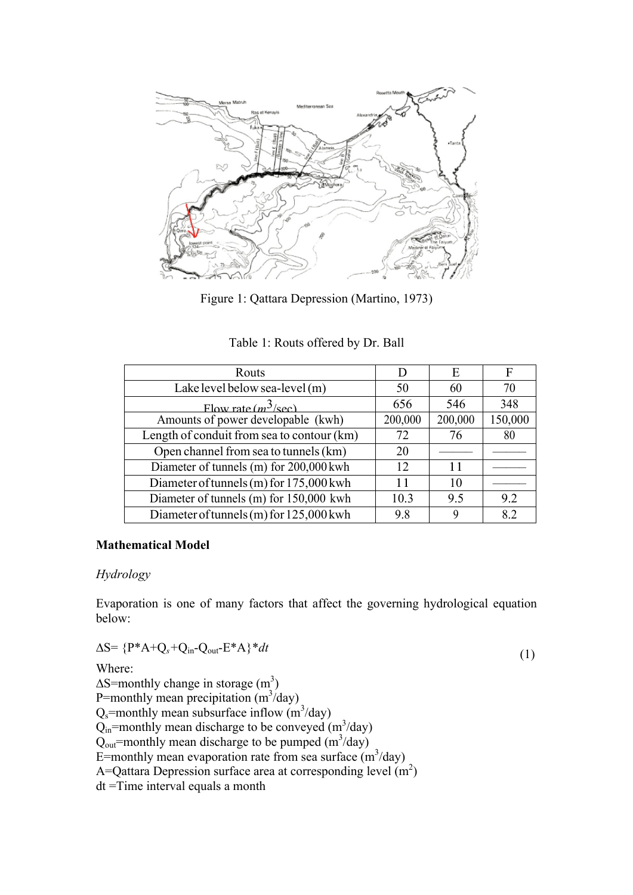

Figure 1: Qattara Depression (Martino, 1973)

|  | Table 1: Routs offered by Dr. Ball |  |  |
|--|------------------------------------|--|--|
|  |                                    |  |  |

| Routs                                      | D       | E       | F       |
|--------------------------------------------|---------|---------|---------|
| Lake level below sea-level (m)             | 50      | 60      | 70      |
| Flow rate $(m^3/\text{sec})$               | 656     | 546     | 348     |
| Amounts of power developable (kwh)         | 200,000 | 200,000 | 150,000 |
| Length of conduit from sea to contour (km) | 72      | 76      | 80      |
| Open channel from sea to tunnels (km)      | 20      |         |         |
| Diameter of tunnels (m) for 200,000 kwh    | 12      | 11      |         |
| Diameter of tunnels (m) for 175,000 kwh    | 11      | 10      |         |
| Diameter of tunnels (m) for 150,000 kwh    | 10.3    | 9.5     | 9.2     |
| Diameter of tunnels (m) for 125,000 kwh    | 98      | 9       | 8.2     |

## **Mathematical Model**

#### *Hydrology*

Evaporation is one of many factors that affect the governing hydrological equation below:

$$
\Delta S = \{P^*A + Q_s + Q_{in} - Q_{out} - E^*A\}^* dt
$$
\n(1)

Where:

 $\Delta S$ =monthly change in storage (m<sup>3</sup>) P=monthly mean precipitation  $(m^3/day)$  $Q_s$ =monthly mean subsurface inflow  $(m^3/day)$  $Q<sub>in</sub>$ =monthly mean discharge to be conveyed (m<sup>3</sup>/day)  $Q_{\text{out}}$ =monthly mean discharge to be pumped (m<sup>3</sup>/day) E=monthly mean evaporation rate from sea surface  $(m^3/day)$ A=Qattara Depression surface area at corresponding level  $(m<sup>2</sup>)$ dt =Time interval equals a month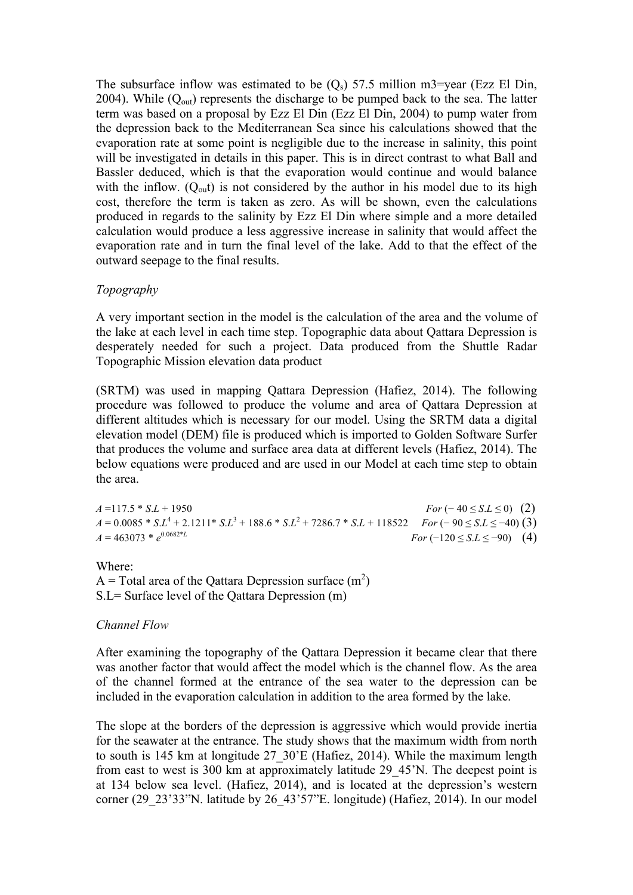The subsurface inflow was estimated to be  $(Q_s)$  57.5 million m3=year (Ezz El Din, 2004). While  $(Q_{out})$  represents the discharge to be pumped back to the sea. The latter term was based on a proposal by Ezz El Din (Ezz El Din, 2004) to pump water from the depression back to the Mediterranean Sea since his calculations showed that the evaporation rate at some point is negligible due to the increase in salinity, this point will be investigated in details in this paper. This is in direct contrast to what Ball and Bassler deduced, which is that the evaporation would continue and would balance with the inflow.  $(O_{out})$  is not considered by the author in his model due to its high cost, therefore the term is taken as zero. As will be shown, even the calculations produced in regards to the salinity by Ezz El Din where simple and a more detailed calculation would produce a less aggressive increase in salinity that would affect the evaporation rate and in turn the final level of the lake. Add to that the effect of the outward seepage to the final results.

## *Topography*

A very important section in the model is the calculation of the area and the volume of the lake at each level in each time step. Topographic data about Qattara Depression is desperately needed for such a project. Data produced from the Shuttle Radar Topographic Mission elevation data product

(SRTM) was used in mapping Qattara Depression (Hafiez, 2014). The following procedure was followed to produce the volume and area of Qattara Depression at different altitudes which is necessary for our model. Using the SRTM data a digital elevation model (DEM) file is produced which is imported to Golden Software Surfer that produces the volume and surface area data at different levels (Hafiez, 2014). The below equations were produced and are used in our Model at each time step to obtain the area.

 $A = 117.5 * S.L + 1950$  *For* (− 40 ≤ *S*.*L* ≤ 0) (2) *A* = 0.0085 \* *S*.*L*<sup>4</sup> + 2.1211\* *S*.*L*<sup>3</sup> + 188.6 \* *S*.*L*<sup>2</sup> + 7286.7 \* *S*.*L* + 118522 *For* (− 90 ≤ *S*.*L* ≤ −40) (3)  $A = 463073 * e^{0.0682*L}$  $For (-120 \le S.L \le -90)$  (4)

Where: A = Total area of the Qattara Depression surface  $(m^2)$ S.L= Surface level of the Qattara Depression (m)

# *Channel Flow*

After examining the topography of the Qattara Depression it became clear that there was another factor that would affect the model which is the channel flow. As the area of the channel formed at the entrance of the sea water to the depression can be included in the evaporation calculation in addition to the area formed by the lake.

The slope at the borders of the depression is aggressive which would provide inertia for the seawater at the entrance. The study shows that the maximum width from north to south is 145 km at longitude 27\_30'E (Hafiez, 2014). While the maximum length from east to west is 300 km at approximately latitude 29\_45'N. The deepest point is at 134 below sea level. (Hafiez, 2014), and is located at the depression's western corner (29\_23'33"N. latitude by 26\_43'57"E. longitude) (Hafiez, 2014). In our model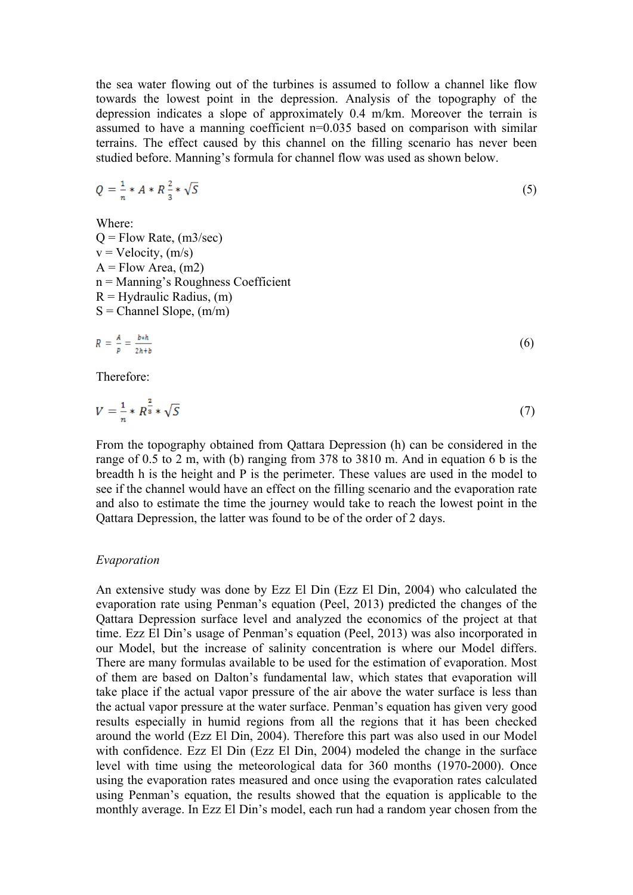the sea water flowing out of the turbines is assumed to follow a channel like flow towards the lowest point in the depression. Analysis of the topography of the depression indicates a slope of approximately 0.4 m/km. Moreover the terrain is assumed to have a manning coefficient n=0.035 based on comparison with similar terrains. The effect caused by this channel on the filling scenario has never been studied before. Manning's formula for channel flow was used as shown below.

$$
Q = \frac{1}{n} * A * R \frac{2}{3} * \sqrt{S}
$$
 (5)

Where:

 $Q =$  Flow Rate, (m3/sec)  $v =$  Velocity,  $(m/s)$  $A = Flow Area, (m2)$ n = Manning's Roughness Coefficient  $R =$  Hydraulic Radius,  $(m)$  $S =$ Channel Slope,  $(m/m)$ 

$$
R = \frac{A}{p} = \frac{b \ast h}{2h + b} \tag{6}
$$

Therefore:

$$
V = \frac{1}{n} * R^{\frac{2}{3}} * \sqrt{S}
$$
 (7)

From the topography obtained from Qattara Depression (h) can be considered in the range of 0.5 to 2 m, with (b) ranging from 378 to 3810 m. And in equation 6 b is the breadth h is the height and P is the perimeter. These values are used in the model to see if the channel would have an effect on the filling scenario and the evaporation rate and also to estimate the time the journey would take to reach the lowest point in the Qattara Depression, the latter was found to be of the order of 2 days.

#### *Evaporation*

An extensive study was done by Ezz El Din (Ezz El Din, 2004) who calculated the evaporation rate using Penman's equation (Peel, 2013) predicted the changes of the Qattara Depression surface level and analyzed the economics of the project at that time. Ezz El Din's usage of Penman's equation (Peel, 2013) was also incorporated in our Model, but the increase of salinity concentration is where our Model differs. There are many formulas available to be used for the estimation of evaporation. Most of them are based on Dalton's fundamental law, which states that evaporation will take place if the actual vapor pressure of the air above the water surface is less than the actual vapor pressure at the water surface. Penman's equation has given very good results especially in humid regions from all the regions that it has been checked around the world (Ezz El Din, 2004). Therefore this part was also used in our Model with confidence. Ezz El Din (Ezz El Din, 2004) modeled the change in the surface level with time using the meteorological data for 360 months (1970-2000). Once using the evaporation rates measured and once using the evaporation rates calculated using Penman's equation, the results showed that the equation is applicable to the monthly average. In Ezz El Din's model, each run had a random year chosen from the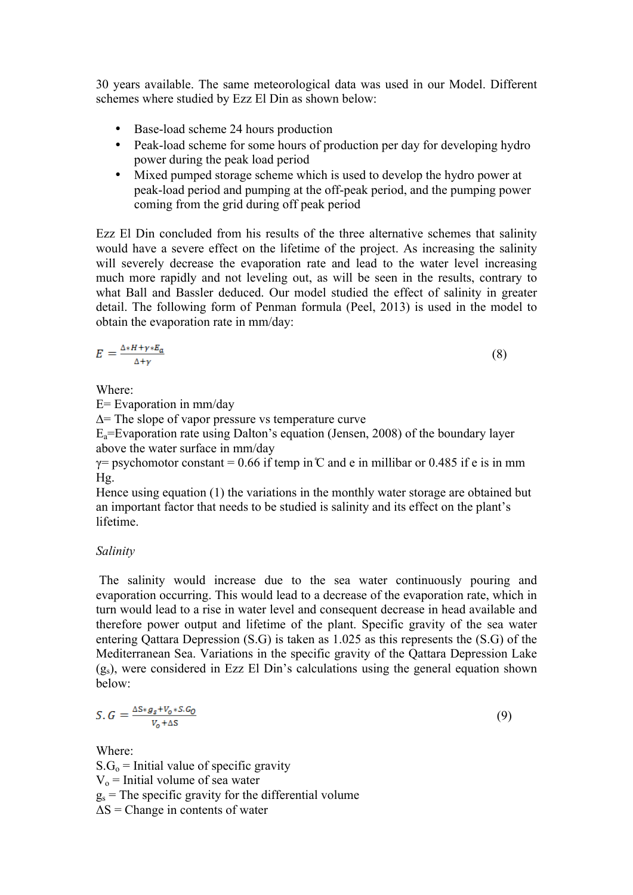30 years available. The same meteorological data was used in our Model. Different schemes where studied by Ezz El Din as shown below:

- Base-load scheme 24 hours production
- Peak-load scheme for some hours of production per day for developing hydro power during the peak load period
- Mixed pumped storage scheme which is used to develop the hydro power at peak-load period and pumping at the off-peak period, and the pumping power coming from the grid during off peak period

Ezz El Din concluded from his results of the three alternative schemes that salinity would have a severe effect on the lifetime of the project. As increasing the salinity will severely decrease the evaporation rate and lead to the water level increasing much more rapidly and not leveling out, as will be seen in the results, contrary to what Ball and Bassler deduced. Our model studied the effect of salinity in greater detail. The following form of Penman formula (Peel, 2013) is used in the model to obtain the evaporation rate in mm/day:

$$
E = \frac{\Delta * H + \gamma * E_a}{\Delta + \gamma} \tag{8}
$$

Where:

E= Evaporation in mm/day

∆= The slope of vapor pressure vs temperature curve

 $E_a$ =Evaporation rate using Dalton's equation (Jensen, 2008) of the boundary layer above the water surface in mm/day

 $\gamma$ = psychomotor constant = 0.66 if temp in  $\mathbb C$  and e in millibar or 0.485 if e is in mm  $Hg$ .

Hence using equation (1) the variations in the monthly water storage are obtained but an important factor that needs to be studied is salinity and its effect on the plant's lifetime.

# *Salinity*

The salinity would increase due to the sea water continuously pouring and evaporation occurring. This would lead to a decrease of the evaporation rate, which in turn would lead to a rise in water level and consequent decrease in head available and therefore power output and lifetime of the plant. Specific gravity of the sea water entering Qattara Depression (S.G) is taken as 1.025 as this represents the (S.G) of the Mediterranean Sea. Variations in the specific gravity of the Qattara Depression Lake  $(g<sub>s</sub>)$ , were considered in Ezz El Din's calculations using the general equation shown below:

$$
S. G = \frac{\Delta S * g_s + V_o * S. G_0}{V_o + \Delta S} \tag{9}
$$

Where:  $S.G<sub>o</sub>$  = Initial value of specific gravity  $V_0$  = Initial volume of sea water  $g_s$  = The specific gravity for the differential volume  $\Delta S$  = Change in contents of water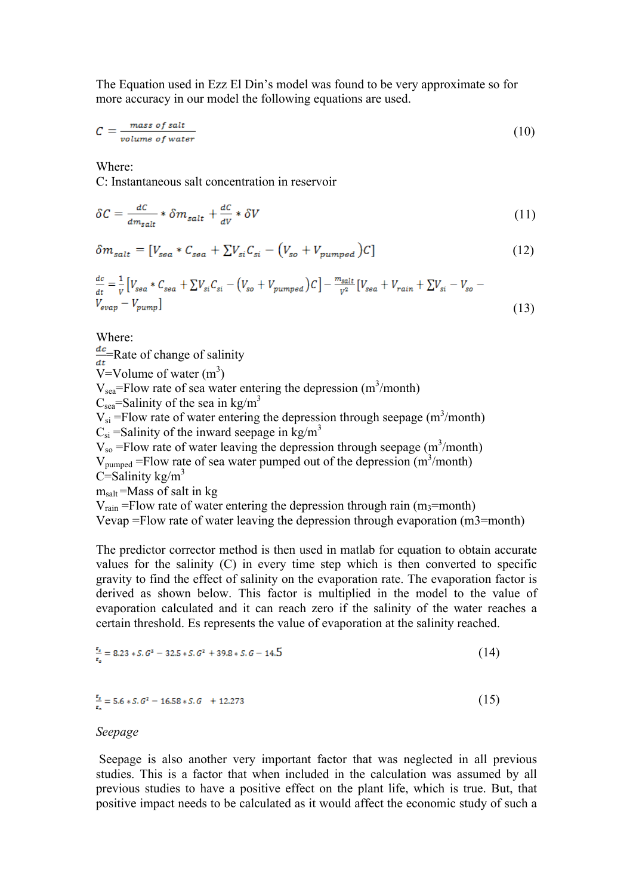The Equation used in Ezz El Din's model was found to be very approximate so for more accuracy in our model the following equations are used.

$$
C = \frac{mass \ of \ salt}{volume \ of \ water} \tag{10}
$$

Where:

C: Instantaneous salt concentration in reservoir

$$
\delta C = \frac{dC}{dm_{salt}} * \delta m_{salt} + \frac{dC}{dV} * \delta V \tag{11}
$$

$$
\delta m_{salt} = [V_{sea} * C_{sea} + \Sigma V_{si} C_{si} - (V_{so} + V_{pumped})C]
$$
\n(12)

$$
\frac{dc}{dt} = \frac{1}{V} \left[ V_{ssa} * C_{sea} + \sum V_{si} C_{si} - \left( V_{so} + V_{pumped} \right) C \right] - \frac{m_{salt}}{V^2} \left[ V_{sea} + V_{rain} + \sum V_{si} - V_{so} - V_{evap} - V_{pump} \right]
$$
\n(13)

Where:

 $\frac{dc}{dt}$ Rate of change of salinity

 $\overline{V}$ =Volume of water (m<sup>3</sup>)

 $V_{sea}$ =Flow rate of sea water entering the depression (m<sup>3</sup>/month)

 $C_{\text{sea}}$ =Salinity of the sea in kg/m<sup>3</sup>

 $V_{si}$  =Flow rate of water entering the depression through seepage (m<sup>3</sup>/month)  $C_{si}$  =Salinity of the inward seepage in kg/m<sup>3</sup>

 $V_{so}$  =Flow rate of water leaving the depression through seepage (m<sup>3</sup>/month)

 $V_{pumped}$  =Flow rate of sea water pumped out of the depression  $(m<sup>3</sup>/month)$  $C =$ Salinity kg/m<sup>3</sup>

 $m_{salt}$ =Mass of salt in kg

 $V_{\text{rain}}$  =Flow rate of water entering the depression through rain (m<sub>3</sub>=month)

Vevap =Flow rate of water leaving the depression through evaporation (m3=month)

The predictor corrector method is then used in matlab for equation to obtain accurate values for the salinity (C) in every time step which is then converted to specific gravity to find the effect of salinity on the evaporation rate. The evaporation factor is derived as shown below. This factor is multiplied in the model to the value of evaporation calculated and it can reach zero if the salinity of the water reaches a certain threshold. Es represents the value of evaporation at the salinity reached.

$$
\frac{x_1}{x_0} = 8.23 * S. G^2 - 32.5 * S. G^2 + 39.8 * S. G - 14.5
$$
\n
$$
(14)
$$

$$
\frac{x_i}{x_n} = 5.6 * S. G^2 - 16.58 * S. G + 12.273 \tag{15}
$$

#### *Seepage*

Seepage is also another very important factor that was neglected in all previous studies. This is a factor that when included in the calculation was assumed by all previous studies to have a positive effect on the plant life, which is true. But, that positive impact needs to be calculated as it would affect the economic study of such a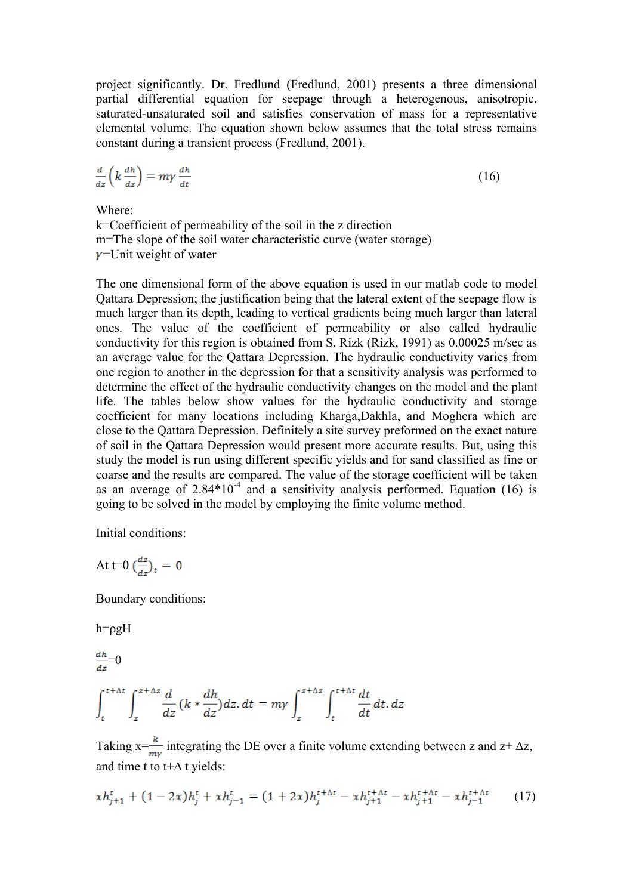project significantly. Dr. Fredlund (Fredlund, 2001) presents a three dimensional partial differential equation for seepage through a heterogenous, anisotropic, saturated-unsaturated soil and satisfies conservation of mass for a representative elemental volume. The equation shown below assumes that the total stress remains constant during a transient process (Fredlund, 2001).

$$
\frac{d}{dz}\left(k\,\frac{dh}{dz}\right) = m\gamma\,\frac{dh}{dt} \tag{16}
$$

Where:

k=Coefficient of permeability of the soil in the z direction m=The slope of the soil water characteristic curve (water storage)  $\nu$ =Unit weight of water

The one dimensional form of the above equation is used in our matlab code to model Qattara Depression; the justification being that the lateral extent of the seepage flow is much larger than its depth, leading to vertical gradients being much larger than lateral ones. The value of the coefficient of permeability or also called hydraulic conductivity for this region is obtained from S. Rizk (Rizk, 1991) as 0.00025 m/sec as an average value for the Qattara Depression. The hydraulic conductivity varies from one region to another in the depression for that a sensitivity analysis was performed to determine the effect of the hydraulic conductivity changes on the model and the plant life. The tables below show values for the hydraulic conductivity and storage coefficient for many locations including Kharga,Dakhla, and Moghera which are close to the Qattara Depression. Definitely a site survey preformed on the exact nature of soil in the Qattara Depression would present more accurate results. But, using this study the model is run using different specific yields and for sand classified as fine or coarse and the results are compared. The value of the storage coefficient will be taken as an average of  $2.84*10^{-4}$  and a sensitivity analysis performed. Equation (16) is going to be solved in the model by employing the finite volume method.

Initial conditions:

At t=0 
$$
\left(\frac{dz}{dz}\right)_t = 0
$$

Boundary conditions:

 $h = \rho g H$ 

 $\frac{dh}{h}$ =0

$$
\int_{t}^{t+\Delta t} \int_{z}^{z+\Delta z} \frac{d}{dz} \left(k * \frac{dh}{dz}\right) dz \, dt = m\gamma \int_{z}^{z+\Delta z} \int_{t}^{t+\Delta t} \frac{dt}{dt} dt \, dz
$$

Taking x= $\frac{k}{my}$  integrating the DE over a finite volume extending between z and z+  $\Delta z$ , and time t to t+∆ t yields:

$$
xh_{j+1}^{t} + (1 - 2x)h_j^{t} + xh_{j-1}^{t} = (1 + 2x)h_j^{t + \Delta t} - xh_{j+1}^{t + \Delta t} - xh_{j+1}^{t + \Delta t} - xh_{j-1}^{t + \Delta t}
$$
 (17)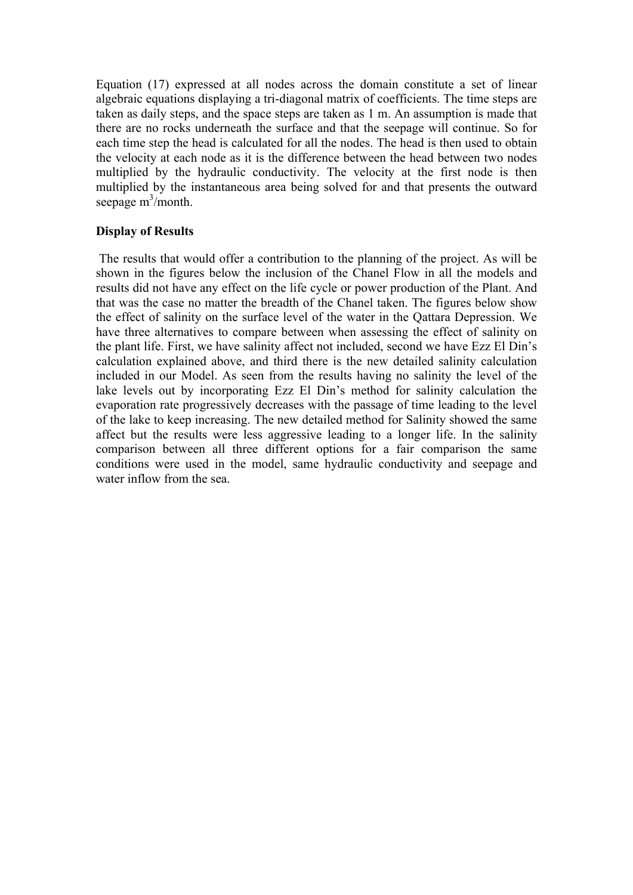Equation (17) expressed at all nodes across the domain constitute a set of linear algebraic equations displaying a tri-diagonal matrix of coefficients. The time steps are taken as daily steps, and the space steps are taken as 1 m. An assumption is made that there are no rocks underneath the surface and that the seepage will continue. So for each time step the head is calculated for all the nodes. The head is then used to obtain the velocity at each node as it is the difference between the head between two nodes multiplied by the hydraulic conductivity. The velocity at the first node is then multiplied by the instantaneous area being solved for and that presents the outward seepage  $m^3$ /month.

# **Display of Results**

The results that would offer a contribution to the planning of the project. As will be shown in the figures below the inclusion of the Chanel Flow in all the models and results did not have any effect on the life cycle or power production of the Plant. And that was the case no matter the breadth of the Chanel taken. The figures below show the effect of salinity on the surface level of the water in the Qattara Depression. We have three alternatives to compare between when assessing the effect of salinity on the plant life. First, we have salinity affect not included, second we have Ezz El Din's calculation explained above, and third there is the new detailed salinity calculation included in our Model. As seen from the results having no salinity the level of the lake levels out by incorporating Ezz El Din's method for salinity calculation the evaporation rate progressively decreases with the passage of time leading to the level of the lake to keep increasing. The new detailed method for Salinity showed the same affect but the results were less aggressive leading to a longer life. In the salinity comparison between all three different options for a fair comparison the same conditions were used in the model, same hydraulic conductivity and seepage and water inflow from the sea.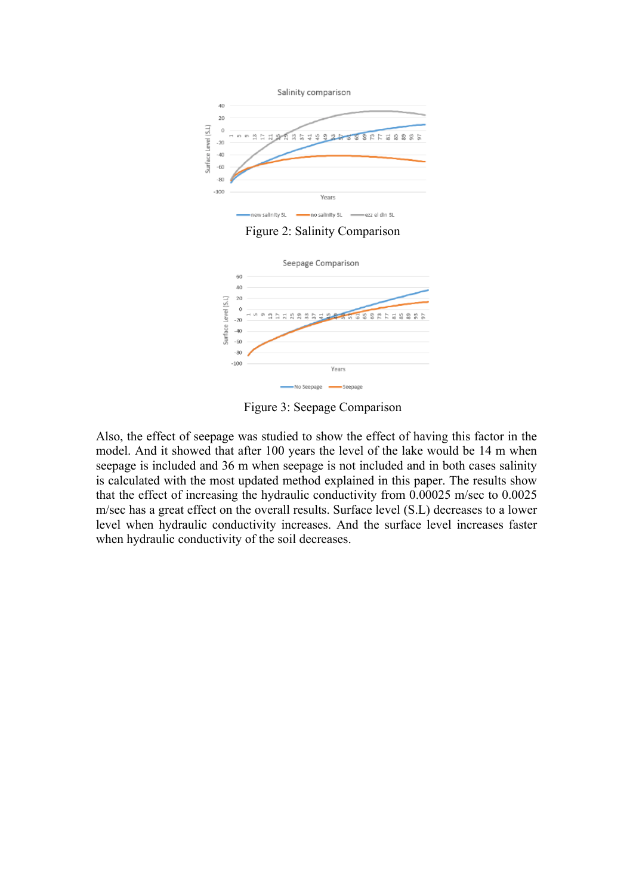

Figure 2: Salinity Comparison



Figure 3: Seepage Comparison

Also, the effect of seepage was studied to show the effect of having this factor in the model. And it showed that after 100 years the level of the lake would be 14 m when seepage is included and 36 m when seepage is not included and in both cases salinity is calculated with the most updated method explained in this paper. The results show that the effect of increasing the hydraulic conductivity from 0.00025 m/sec to 0.0025 m/sec has a great effect on the overall results. Surface level (S.L) decreases to a lower level when hydraulic conductivity increases. And the surface level increases faster when hydraulic conductivity of the soil decreases.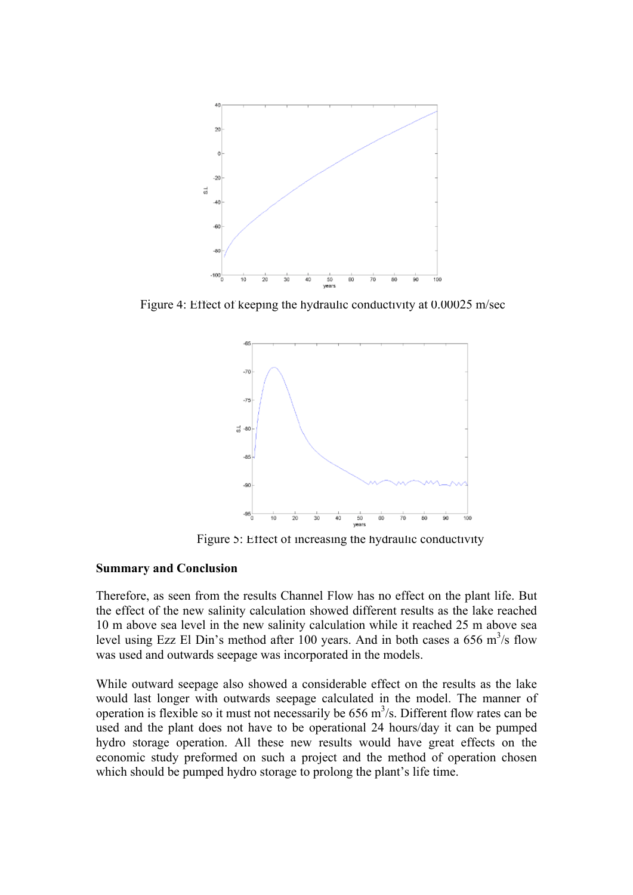

Figure 4: Effect of keeping the hydraulic conductivity at 0.00025 m/sec



Figure 5: Effect of increasing the hydraulic conductivity

## **Summary and Conclusion**

Therefore, as seen from the results Channel Flow has no effect on the plant life. But the effect of the new salinity calculation showed different results as the lake reached 10 m above sea level in the new salinity calculation while it reached 25 m above sea level using Ezz El Din's method after 100 years. And in both cases a 656 m<sup>3</sup>/s flow was used and outwards seepage was incorporated in the models.

While outward seepage also showed a considerable effect on the results as the lake would last longer with outwards seepage calculated in the model. The manner of operation is flexible so it must not necessarily be  $656 \text{ m}^3/\text{s}$ . Different flow rates can be used and the plant does not have to be operational 24 hours/day it can be pumped hydro storage operation. All these new results would have great effects on the economic study preformed on such a project and the method of operation chosen which should be pumped hydro storage to prolong the plant's life time.